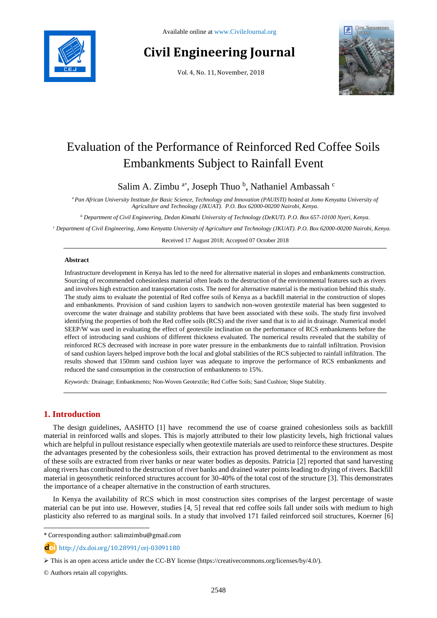

# **Civil Engineering Journal**

Vol. 4, No. 11, November, 2018



# Evaluation of the Performance of Reinforced Red Coffee Soils Embankments Subject to Rainfall Event

Salim A. Zimbu<sup>a\*</sup>, Joseph Thuo<sup>b</sup>, Nathaniel Ambassah<sup>c</sup>

*<sup>a</sup> Pan African University Institute for Basic Science, Technology and Innovation (PAUISTI) hosted at Jomo Kenyatta University of Agriculture and Technology (JKUAT). P.O. Box 62000-00200 Nairobi, Kenya.*

*<sup>b</sup> Department of Civil Engineering, Dedan Kimathi University of Technology (DeKUT). P.O. Box 657-10100 Nyeri, Kenya.*

*<sup>c</sup> Department of Civil Engineering, Jomo Kenyatta University of Agriculture and Technology (JKUAT). P.O. Box 62000-00200 Nairobi, Kenya.*

Received 17 August 2018; Accepted 07 October 2018

#### **Abstract**

Infrastructure development in Kenya has led to the need for alternative material in slopes and embankments construction. Sourcing of recommended cohesionless material often leads to the destruction of the environmental features such as rivers and involves high extraction and transportation costs. The need for alternative material is the motivation behind this study. The study aims to evaluate the potential of Red coffee soils of Kenya as a backfill material in the construction of slopes and embankments. Provision of sand cushion layers to sandwich non-woven geotextile material has been suggested to overcome the water drainage and stability problems that have been associated with these soils. The study first involved identifying the properties of both the Red coffee soils (RCS) and the river sand that is to aid in drainage. Numerical model SEEP/W was used in evaluating the effect of geotextile inclination on the performance of RCS embankments before the effect of introducing sand cushions of different thickness evaluated. The numerical results revealed that the stability of reinforced RCS decreased with increase in pore water pressure in the embankments due to rainfall infiltration. Provision of sand cushion layers helped improve both the local and global stabilities of the RCS subjected to rainfall infiltration. The results showed that 150mm sand cushion layer was adequate to improve the performance of RCS embankments and reduced the sand consumption in the construction of embankments to 15%.

*Keywords:* Drainage; Embankments; Non-Woven Geotextile; Red Coffee Soils; Sand Cushion; Slope Stability.

# **1. Introduction**

l

The design guidelines, AASHTO [1] have recommend the use of coarse grained cohesionless soils as backfill material in reinforced walls and slopes. This is majorly attributed to their low plasticity levels, high frictional values which are helpful in pullout resistance especially when geotextile materials are used to reinforce these structures. Despite the advantages presented by the cohesionless soils, their extraction has proved detrimental to the environment as most of these soils are extracted from river banks or near water bodies as deposits. Patricia [2] reported that sand harvesting along rivers has contributed to the destruction of river banks and drained water points leading to drying of rivers. Backfill material in geosynthetic reinforced structures account for 30-40% of the total cost of the structure [3]. This demonstrates the importance of a cheaper alternative in the construction of earth structures.

In Kenya the availability of RCS which in most construction sites comprises of the largest percentage of waste material can be put into use. However, studies [4, 5] reveal that red coffee soils fall under soils with medium to high plasticity also referred to as marginal soils. In a study that involved 171 failed reinforced soil structures, Koerner [6]

\* Corresponding author: salimzimbu@gmail.com

http://dx.doi.org/10.28991/cej-03091180

This is an open access article under the CC-BY license [\(https://creativecommons.org/licenses/by/4.0/\)](https://creativecommons.org/licenses/by/4.0/).

© Authors retain all copyrights.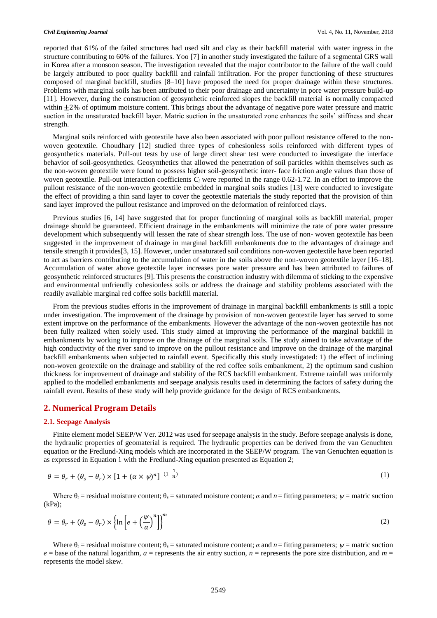reported that 61% of the failed structures had used silt and clay as their backfill material with water ingress in the structure contributing to 60% of the failures. Yoo [7] in another study investigated the failure of a segmental GRS wall in Korea after a monsoon season. The investigation revealed that the major contributor to the failure of the wall could be largely attributed to poor quality backfill and rainfall infiltration. For the proper functioning of these structures composed of marginal backfill, studies [8–10] have proposed the need for proper drainage within these structures. Problems with marginal soils has been attributed to their poor drainage and uncertainty in pore water pressure build-up [11]. However, during the construction of geosynthetic reinforced slopes the backfill material is normally compacted within  $\pm 2\%$  of optimum moisture content. This brings about the advantage of negative pore water pressure and matric suction in the unsaturated backfill layer. Matric suction in the unsaturated zone enhances the soils' stiffness and shear strength.

Marginal soils reinforced with geotextile have also been associated with poor pullout resistance offered to the nonwoven geotextile. Choudhary [12] studied three types of cohesionless soils reinforced with different types of geosynthetics materials. Pull-out tests by use of large direct shear test were conducted to investigate the interface behavior of soil-geosynthetics. Geosynthetics that allowed the penetration of soil particles within themselves such as the non-woven geotextile were found to possess higher soil-geosynthetic inter- face friction angle values than those of woven geotextile. Pull-out interaction coefficients  $C_i$  were reported in the range 0.62-1.72. In an effort to improve the pullout resistance of the non-woven geotextile embedded in marginal soils studies [13] were conducted to investigate the effect of providing a thin sand layer to cover the geotextile materials the study reported that the provision of thin sand layer improved the pullout resistance and improved on the deformation of reinforced clays.

Previous studies [6, 14] have suggested that for proper functioning of marginal soils as backfill material, proper drainage should be guaranteed. Efficient drainage in the embankments will minimize the rate of pore water pressure development which subsequently will lessen the rate of shear strength loss. The use of non- woven geotextile has been suggested in the improvement of drainage in marginal backfill embankments due to the advantages of drainage and tensile strength it provides[3, 15]. However, under unsaturated soil conditions non-woven geotextile have been reported to act as barriers contributing to the accumulation of water in the soils above the non-woven geotextile layer [16–18]. Accumulation of water above geotextile layer increases pore water pressure and has been attributed to failures of geosynthetic reinforced structures [9]. This presents the construction industry with dilemma of sticking to the expensive and environmental unfriendly cohesionless soils or address the drainage and stability problems associated with the readily available marginal red coffee soils backfill material.

From the previous studies efforts in the improvement of drainage in marginal backfill embankments is still a topic under investigation. The improvement of the drainage by provision of non-woven geotextile layer has served to some extent improve on the performance of the embankments. However the advantage of the non-woven geotextile has not been fully realized when solely used. This study aimed at improving the performance of the marginal backfill in embankments by working to improve on the drainage of the marginal soils. The study aimed to take advantage of the high conductivity of the river sand to improve on the pullout resistance and improve on the drainage of the marginal backfill embankments when subjected to rainfall event. Specifically this study investigated: 1) the effect of inclining non-woven geotextile on the drainage and stability of the red coffee soils embankment, 2) the optimum sand cushion thickness for improvement of drainage and stability of the RCS backfill embankment. Extreme rainfall was uniformly applied to the modelled embankments and seepage analysis results used in determining the factors of safety during the rainfall event. Results of these study will help provide guidance for the design of RCS embankments.

# **2. Numerical Program Details**

#### **2.1. Seepage Analysis**

Finite element model SEEP/W Ver. 2012 was used for seepage analysis in the study. Before seepage analysis is done, the hydraulic properties of geomaterial is required. The hydraulic properties can be derived from the van Genuchten equation or the Fredlund-Xing models which are incorporated in the SEEP/W program. The van Genuchten equation is as expressed in Equation 1 with the Fredlund-Xing equation presented as Equation 2;

$$
\theta = \theta_r + (\theta_s - \theta_r) \times [1 + (\alpha \times \psi)^n]^{-(1 - \frac{1}{n})}
$$
\n(1)

Where  $\theta_r$  = residual moisture content;  $\theta_s$  = saturated moisture content;  $\alpha$  and  $n =$  fitting parameters;  $\psi$  = matric suction (kPa);

$$
\theta = \theta_r + (\theta_s - \theta_r) \times \left\{ \ln \left[ e + \left( \frac{\psi}{a} \right)^n \right] \right\}^m
$$
\n(2)

Where  $\theta_r$  = residual moisture content;  $\theta_s$  = saturated moisture content;  $\alpha$  and  $n =$  fitting parameters;  $\psi$  = matric suction  $e =$  base of the natural logarithm,  $a =$  represents the air entry suction,  $n =$  represents the pore size distribution, and  $m =$ represents the model skew.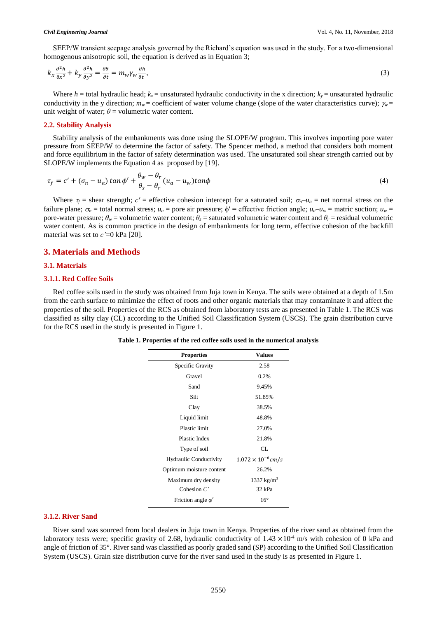SEEP/W transient seepage analysis governed by the Richard's equation was used in the study. For a two-dimensional homogenous anisotropic soil, the equation is derived as in Equation 3;

$$
k_x \frac{\partial^2 h}{\partial x^2} + k_y \frac{\partial^2 h}{\partial y^2} = \frac{\partial \theta}{\partial t} = m_w \gamma_w \frac{\partial h}{\partial t},\tag{3}
$$

Where  $h$  = total hydraulic head;  $k_x$  = unsaturated hydraulic conductivity in the x direction;  $k_y$  = unsaturated hydraulic conductivity in the y direction;  $m_w$  = coefficient of water volume change (slope of the water characteristics curve);  $\gamma_w$  = unit weight of water;  $\theta$  = volumetric water content.

#### **2.2. Stability Analysis**

Stability analysis of the embankments was done using the SLOPE/W program. This involves importing pore water pressure from SEEP/W to determine the factor of safety. The Spencer method, a method that considers both moment and force equilibrium in the factor of safety determination was used. The unsaturated soil shear strength carried out by SLOPE/W implements the Equation 4 as proposed by [19].

$$
\tau_f = c' + (\sigma_n - u_a) \tan \phi' + \frac{\theta_w - \theta_r}{\theta_s - \theta_r} (u_a - u_w) \tan \phi \tag{4}
$$

Where  $\tau_f$  = shear strength;  $c'$  = effective cohesion intercept for a saturated soil;  $\sigma_n - u_a$  = net normal stress on the failure plane;  $\sigma_n$  = total normal stress;  $u_a$  = pore air pressure;  $\phi'$  = effective friction angle;  $u_a - u_w$  = matric suction;  $u_w$  = pore-water pressure;  $\theta_w$  = volumetric water content;  $\theta_s$  = saturated volumetric water content and  $\theta_r$  = residual volumetric water content. As is common practice in the design of embankments for long term, effective cohesion of the backfill material was set to  $c' = 0$  kPa [20].

# **3. Materials and Methods**

#### **3.1. Materials**

#### **3.1.1. Red Coffee Soils**

Red coffee soils used in the study was obtained from Juja town in Kenya. The soils were obtained at a depth of 1.5m from the earth surface to minimize the effect of roots and other organic materials that may contaminate it and affect the properties of the soil. Properties of the RCS as obtained from laboratory tests are as presented in Table 1. The RCS was classified as silty clay (CL) according to the Unified Soil Classification System (USCS). The grain distribution curve for the RCS used in the study is presented in Figure 1.

| <b>Properties</b>         | <b>Values</b>               |
|---------------------------|-----------------------------|
| Specific Gravity          | 2.58                        |
| Gravel                    | 0.2%                        |
| Sand                      | 9.45%                       |
| Silt                      | 51.85%                      |
| Clay                      | 38.5%                       |
| Liquid limit              | 48.8%                       |
| <b>Plastic limit</b>      | 27.0%                       |
| Plastic Index             | 21.8%                       |
| Type of soil              | CL.                         |
| Hydraulic Conductivity    | $1.072 \times 10^{-6}$ cm/s |
| Optimum moisture content  | 26.2%                       |
| Maximum dry density       | 1337 $kg/m^3$               |
| Cohesion $C'$             | 32 kPa                      |
| Friction angle $\varphi'$ | $16^{\circ}$                |

**Table 1. Properties of the red coffee soils used in the numerical analysis**

#### **3.1.2. River Sand**

River sand was sourced from local dealers in Juja town in Kenya. Properties of the river sand as obtained from the laboratory tests were; specific gravity of 2.68, hydraulic conductivity of  $1.43 \times 10^{-4}$  m/s with cohesion of 0 kPa and angle of friction of 35°. River sand was classified as poorly graded sand (SP) according to the Unified Soil Classification System (USCS). Grain size distribution curve for the river sand used in the study is as presented in Figure 1.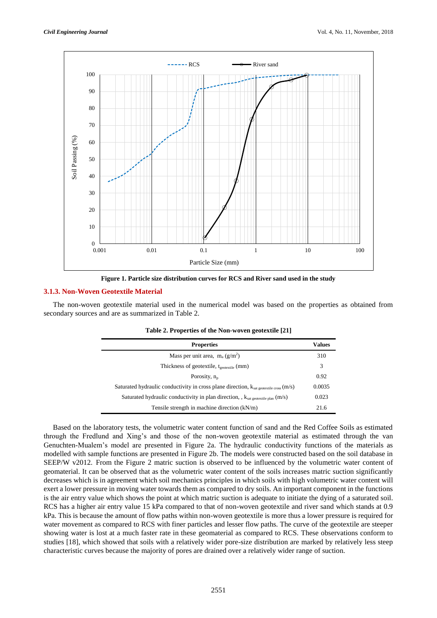

**Figure 1. Particle size distribution curves for RCS and River sand used in the study**

## **3.1.3. Non-Woven Geotextile Material**

The non-woven geotextile material used in the numerical model was based on the properties as obtained from secondary sources and are as summarized in Table 2.

| <b>Properties</b>                                                                             |        |
|-----------------------------------------------------------------------------------------------|--------|
| Mass per unit area, $m_a (g/m^2)$                                                             | 310    |
| Thickness of geotextile, t <sub>ecotextile</sub> (mm)                                         | 3      |
| Porosity, $n_n$                                                                               | 0.92   |
| Saturated hydraulic conductivity in cross plane direction, $k_{sat}$ geotextile cross $(m/s)$ | 0.0035 |
| Saturated hydraulic conductivity in plan direction, , ksat geotextile plan (m/s)              |        |
| Tensile strength in machine direction $(kN/m)$                                                |        |

| Table 2. Properties of the Non-woven geotextile [21] |  |  |  |
|------------------------------------------------------|--|--|--|
|------------------------------------------------------|--|--|--|

Based on the laboratory tests, the volumetric water content function of sand and the Red Coffee Soils as estimated through the Fredlund and Xing's and those of the non-woven geotextile material as estimated through the van Genuchten-Mualem's model are presented in Figure 2a. The hydraulic conductivity functions of the materials as modelled with sample functions are presented in Figure 2b. The models were constructed based on the soil database in SEEP/W v2012. From the Figure 2 matric suction is observed to be influenced by the volumetric water content of geomaterial. It can be observed that as the volumetric water content of the soils increases matric suction significantly decreases which is in agreement which soil mechanics principles in which soils with high volumetric water content will exert a lower pressure in moving water towards them as compared to dry soils. An important component in the functions is the air entry value which shows the point at which matric suction is adequate to initiate the dying of a saturated soil. RCS has a higher air entry value 15 kPa compared to that of non-woven geotextile and river sand which stands at 0.9 kPa. This is because the amount of flow paths within non-woven geotextile is more thus a lower pressure is required for water movement as compared to RCS with finer particles and lesser flow paths. The curve of the geotextile are steeper showing water is lost at a much faster rate in these geomaterial as compared to RCS. These observations conform to studies [18], which showed that soils with a relatively wider pore-size distribution are marked by relatively less steep characteristic curves because the majority of pores are drained over a relatively wider range of suction.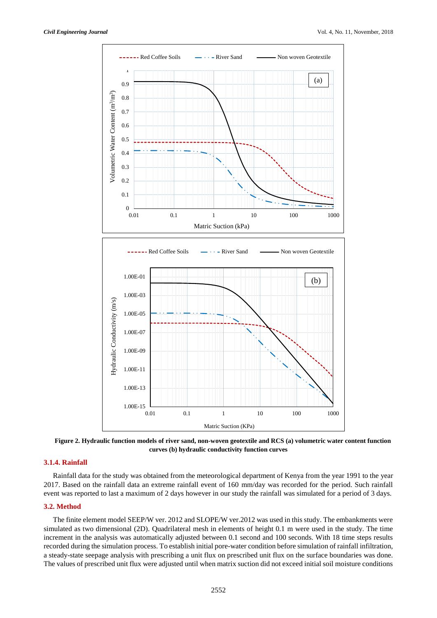

**Figure 2. Hydraulic function models of river sand, non-woven geotextile and RCS (a) volumetric water content function curves (b) hydraulic conductivity function curves**

# **3.1.4. Rainfall**

Rainfall data for the study was obtained from the meteorological department of Kenya from the year 1991 to the year 2017. Based on the rainfall data an extreme rainfall event of 160 mm/day was recorded for the period. Such rainfall event was reported to last a maximum of 2 days however in our study the rainfall was simulated for a period of 3 days.

#### **3.2. Method**

The finite element model SEEP/W ver. 2012 and SLOPE/W ver.2012 was used in this study. The embankments were simulated as two dimensional (2D). Quadrilateral mesh in elements of height 0.1 m were used in the study. The time increment in the analysis was automatically adjusted between 0.1 second and 100 seconds. With 18 time steps results recorded during the simulation process. To establish initial pore-water condition before simulation of rainfall infiltration, a steady-state seepage analysis with prescribing a unit flux on prescribed unit flux on the surface boundaries was done. The values of prescribed unit flux were adjusted until when matrix suction did not exceed initial soil moisture conditions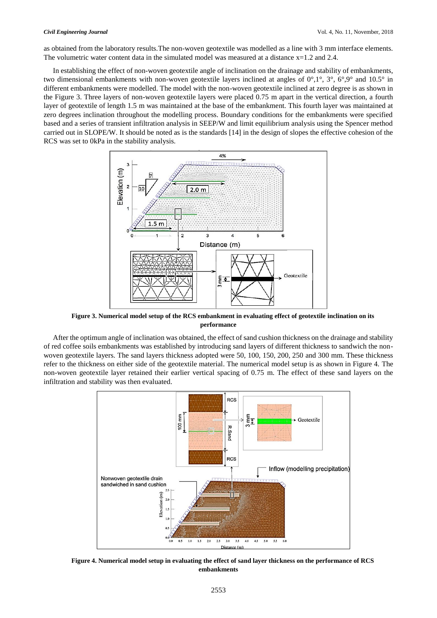as obtained from the laboratory results.The non-woven geotextile was modelled as a line with 3 mm interface elements. The volumetric water content data in the simulated model was measured at a distance  $x=1.2$  and 2.4.

In establishing the effect of non-woven geotextile angle of inclination on the drainage and stability of embankments, two dimensional embankments with non-woven geotextile layers inclined at angles of 0°,1°, 3°, 6°,9° and 10.5° in different embankments were modelled. The model with the non-woven geotextile inclined at zero degree is as shown in the Figure 3. Three layers of non-woven geotextile layers were placed 0.75 m apart in the vertical direction, a fourth layer of geotextile of length 1.5 m was maintained at the base of the embankment. This fourth layer was maintained at zero degrees inclination throughout the modelling process. Boundary conditions for the embankments were specified based and a series of transient infiltration analysis in SEEP/W and limit equilibrium analysis using the Spencer method carried out in SLOPE/W. It should be noted as is the standards [14] in the design of slopes the effective cohesion of the RCS was set to 0kPa in the stability analysis.



**Figure 3. Numerical model setup of the RCS embankment in evaluating effect of geotextile inclination on its performance**

After the optimum angle of inclination was obtained, the effect of sand cushion thickness on the drainage and stability of red coffee soils embankments was established by introducing sand layers of different thickness to sandwich the nonwoven geotextile layers. The sand layers thickness adopted were 50, 100, 150, 200, 250 and 300 mm. These thickness refer to the thickness on either side of the geotextile material. The numerical model setup is as shown in Figure 4. The non-woven geotextile layer retained their earlier vertical spacing of 0.75 m. The effect of these sand layers on the infiltration and stability was then evaluated.



**Figure 4. Numerical model setup in evaluating the effect of sand layer thickness on the performance of RCS embankments**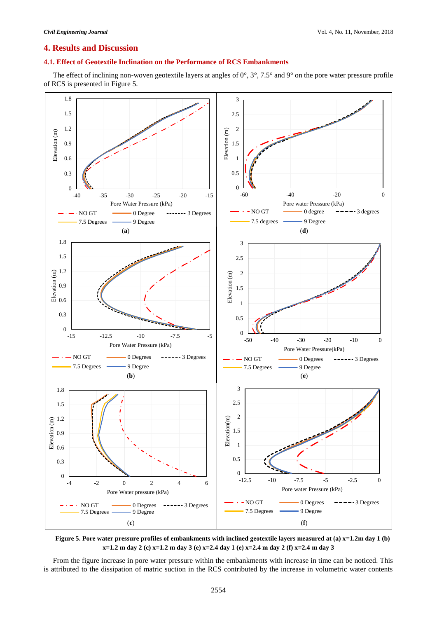# **4. Results and Discussion**

# **4.1. Effect of Geotextile Inclination on the Performance of RCS Embankments**

The effect of inclining non-woven geotextile layers at angles of 0°, 3°, 7.5° and 9° on the pore water pressure profile of RCS is presented in Figure 5.



**Figure 5. Pore water pressure profiles of embankments with inclined geotextile layers measured at (a) x=1.2m day 1 (b) x=1.2 m day 2 (c) x=1.2 m day 3 (e) x=2.4 day 1 (e) x=2.4 m day 2 (f) x=2.4 m day 3**

From the figure increase in pore water pressure within the embankments with increase in time can be noticed. This is attributed to the dissipation of matric suction in the RCS contributed by the increase in volumetric water contents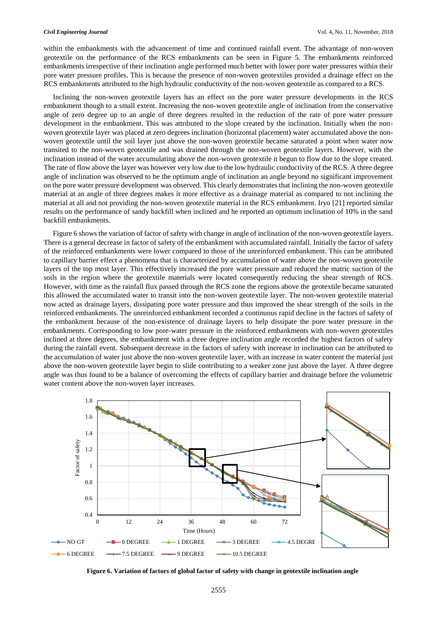within the embankments with the advancement of time and continued rainfall event. The advantage of non-woven geotextile on the performance of the RCS embankments can be seen in Figure 5. The embankments reinforced embankments irrespective of their inclination angle performed much better with lower pore water pressures within their pore water pressure profiles. This is because the presence of non-woven geotextiles provided a drainage effect on the RCS embankments attributed to the high hydraulic conductivity of the non-woven geotextile as compared to a RCS.

Inclining the non-woven geotextile layers has an effect on the pore water pressure developments in the RCS embankment though to a small extent. Increasing the non-woven geotextile angle of inclination from the conservative angle of zero degree up to an angle of three degrees resulted in the reduction of the rate of pore water pressure development in the embankment. This was attributed to the slope created by the inclination. Initially when the nonwoven geotextile layer was placed at zero degrees inclination (horizontal placement) water accumulated above the nonwoven geotextile until the soil layer just above the non-woven geotextile became saturated a point when water now transited to the non-woven geotextile and was drained through the non-woven geotextile layers. However, with the inclination instead of the water accumulating above the non-woven geotextile it begun to flow due to the slope created. The rate of flow above the layer was however very low due to the low hydraulic conductivity of the RCS. A three degree angle of inclination was observed to be the optimum angle of inclination an angle beyond no significant improvement on the pore water pressure development was observed. This clearly demonstrates that inclining the non-woven geotextile material at an angle of three degrees makes it more effective as a drainage material as compared to not inclining the material at all and not providing the non-woven geotextile material in the RCS embankment. Iryo [21] reported similar results on the performance of sandy backfill when inclined and he reported an optimum inclination of 10% in the sand backfill embankments.

Figure 6 shows the variation of factor of safety with change in angle of inclination of the non-woven geotextile layers. There is a general decrease in factor of safety of the embankment with accumulated rainfall. Initially the factor of safety of the reinforced embankments were lower compared to those of the unreinforced embankment. This can be attributed to capillary barrier effect a phenomena that is characterized by accumulation of water above the non-woven geotextile layers of the top most layer. This effectively increased the pore water pressure and reduced the matric suction of the soils in the region where the geotextile materials were located consequently reducing the shear strength of RCS. However, with time as the rainfall flux passed through the RCS zone the regions above the geotextile became saturated this allowed the accumulated water to transit into the non-woven geotextile layer. The non-woven geotextile material now acted as drainage layers, dissipating pore water pressure and thus improved the shear strength of the soils in the reinforced embankments. The unreinforced embankment recorded a continuous rapid decline in the factors of safety of the embankment because of the non-existence of drainage layers to help dissipate the pore water pressure in the embankments. Corresponding to low pore-water pressure in the reinforced embankments with non-woven geotextiles inclined at three degrees, the embankment with a three degree inclination angle recorded the highest factors of safety during the rainfall event. Subsequent decrease in the factors of safety with increase in inclination can be attributed to the accumulation of water just above the non-woven geotextile layer, with an increase in water content the material just above the non-woven geotextile layer begin to slide contributing to a weaker zone just above the layer. A three degree angle was thus found to be a balance of overcoming the effects of capillary barrier and drainage before the volumetric water content above the non-woven layer increases.



**Figure 6. Variation of factors of global factor of safety with change in geotextile inclination angle**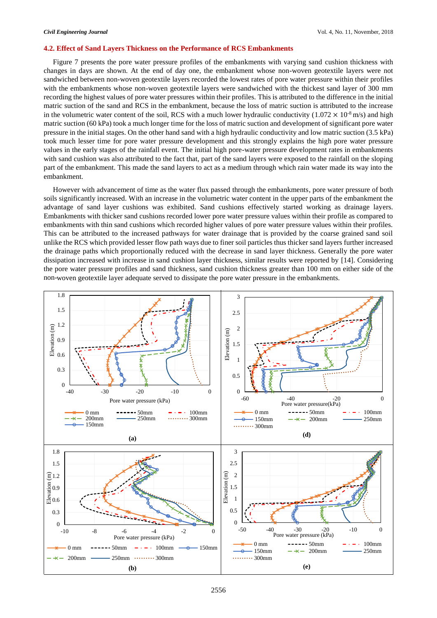#### **4.2. Effect of Sand Layers Thickness on the Performance of RCS Embankments**

Figure 7 presents the pore water pressure profiles of the embankments with varying sand cushion thickness with changes in days are shown. At the end of day one, the embankment whose non-woven geotextile layers were not sandwiched between non-woven geotextile layers recorded the lowest rates of pore water pressure within their profiles with the embankments whose non-woven geotextile layers were sandwiched with the thickest sand layer of 300 mm recording the highest values of pore water pressures within their profiles. This is attributed to the difference in the initial matric suction of the sand and RCS in the embankment, because the loss of matric suction is attributed to the increase in the volumetric water content of the soil, RCS with a much lower hydraulic conductivity (1.072  $\times$  10<sup>-8</sup> m/s) and high matric suction (60 kPa) took a much longer time for the loss of matric suction and development of significant pore water pressure in the initial stages. On the other hand sand with a high hydraulic conductivity and low matric suction (3.5 kPa) took much lesser time for pore water pressure development and this strongly explains the high pore water pressure values in the early stages of the rainfall event. The initial high pore-water pressure development rates in embankments with sand cushion was also attributed to the fact that, part of the sand layers were exposed to the rainfall on the sloping part of the embankment. This made the sand layers to act as a medium through which rain water made its way into the embankment.

However with advancement of time as the water flux passed through the embankments, pore water pressure of both soils significantly increased. With an increase in the volumetric water content in the upper parts of the embankment the advantage of sand layer cushions was exhibited. Sand cushions effectively started working as drainage layers. Embankments with thicker sand cushions recorded lower pore water pressure values within their profile as compared to embankments with thin sand cushions which recorded higher values of pore water pressure values within their profiles. This can be attributed to the increased pathways for water drainage that is provided by the coarse grained sand soil unlike the RCS which provided lesser flow path ways due to finer soil particles thus thicker sand layers further increased the drainage paths which proportionally reduced with the decrease in sand layer thickness. Generally the pore water dissipation increased with increase in sand cushion layer thickness, similar results were reported by [14]. Considering the pore water pressure profiles and sand thickness, sand cushion thickness greater than 100 mm on either side of the non-woven geotextile layer adequate served to dissipate the pore water pressure in the embankments.

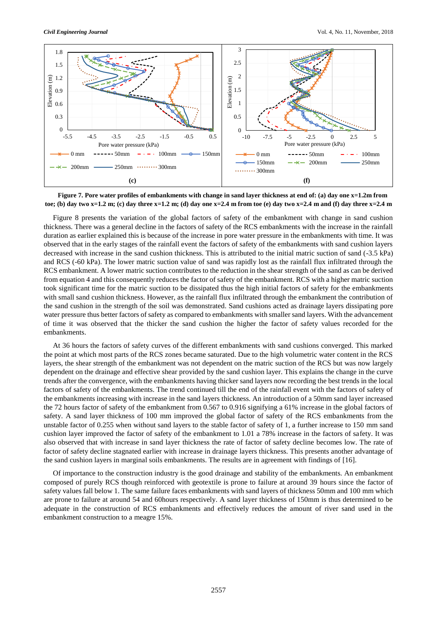

**Figure 7. Pore water profiles of embankments with change in sand layer thickness at end of: (a) day one x=1.2m from toe; (b) day two x=1.2 m; (c) day three x=1.2 m; (d) day one x=2.4 m from toe (e) day two x=2.4 m and (f) day three x=2.4 m**

Figure 8 presents the variation of the global factors of safety of the embankment with change in sand cushion thickness. There was a general decline in the factors of safety of the RCS embankments with the increase in the rainfall duration as earlier explained this is because of the increase in pore water pressure in the embankments with time. It was observed that in the early stages of the rainfall event the factors of safety of the embankments with sand cushion layers decreased with increase in the sand cushion thickness. This is attributed to the initial matric suction of sand (-3.5 kPa) and RCS (-60 kPa). The lower matric suction value of sand was rapidly lost as the rainfall flux infiltrated through the RCS embankment. A lower matric suction contributes to the reduction in the shear strength of the sand as can be derived from equation 4 and this consequently reduces the factor of safety of the embankment. RCS with a higher matric suction took significant time for the matric suction to be dissipated thus the high initial factors of safety for the embankments with small sand cushion thickness. However, as the rainfall flux infiltrated through the embankment the contribution of the sand cushion in the strength of the soil was demonstrated. Sand cushions acted as drainage layers dissipating pore water pressure thus better factors of safety as compared to embankments with smaller sand layers. With the advancement of time it was observed that the thicker the sand cushion the higher the factor of safety values recorded for the embankments.

At 36 hours the factors of safety curves of the different embankments with sand cushions converged. This marked the point at which most parts of the RCS zones became saturated. Due to the high volumetric water content in the RCS layers, the shear strength of the embankment was not dependent on the matric suction of the RCS but was now largely dependent on the drainage and effective shear provided by the sand cushion layer. This explains the change in the curve trends after the convergence, with the embankments having thicker sand layers now recording the best trends in the local factors of safety of the embankments. The trend continued till the end of the rainfall event with the factors of safety of the embankments increasing with increase in the sand layers thickness. An introduction of a 50mm sand layer increased the 72 hours factor of safety of the embankment from 0.567 to 0.916 signifying a 61% increase in the global factors of safety. A sand layer thickness of 100 mm improved the global factor of safety of the RCS embankments from the unstable factor of 0.255 when without sand layers to the stable factor of safety of 1, a further increase to 150 mm sand cushion layer improved the factor of safety of the embankment to 1.01 a 78% increase in the factors of safety. It was also observed that with increase in sand layer thickness the rate of factor of safety decline becomes low. The rate of factor of safety decline stagnated earlier with increase in drainage layers thickness. This presents another advantage of the sand cushion layers in marginal soils embankments. The results are in agreement with findings of [16].

Of importance to the construction industry is the good drainage and stability of the embankments. An embankment composed of purely RCS though reinforced with geotextile is prone to failure at around 39 hours since the factor of safety values fall below 1. The same failure faces embankments with sand layers of thickness 50mm and 100 mm which are prone to failure at around 54 and 60hours respectively. A sand layer thickness of 150mm is thus determined to be adequate in the construction of RCS embankments and effectively reduces the amount of river sand used in the embankment construction to a meagre 15%.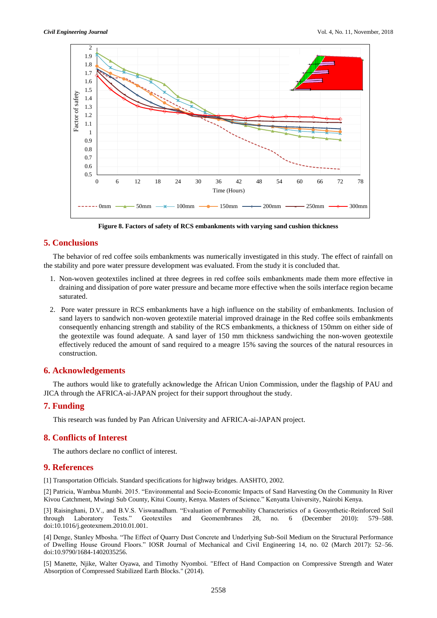

**Figure 8. Factors of safety of RCS embankments with varying sand cushion thickness**

# **5. Conclusions**

The behavior of red coffee soils embankments was numerically investigated in this study. The effect of rainfall on the stability and pore water pressure development was evaluated. From the study it is concluded that.

- 1. Non-woven geotextiles inclined at three degrees in red coffee soils embankments made them more effective in draining and dissipation of pore water pressure and became more effective when the soils interface region became saturated.
- 2. Pore water pressure in RCS embankments have a high influence on the stability of embankments. Inclusion of sand layers to sandwich non-woven geotextile material improved drainage in the Red coffee soils embankments consequently enhancing strength and stability of the RCS embankments, a thickness of 150mm on either side of the geotextile was found adequate. A sand layer of 150 mm thickness sandwiching the non-woven geotextile effectively reduced the amount of sand required to a meagre 15% saving the sources of the natural resources in construction.

# **6. Acknowledgements**

The authors would like to gratefully acknowledge the African Union Commission, under the flagship of PAU and JICA through the AFRICA-ai-JAPAN project for their support throughout the study.

## **7. Funding**

This research was funded by Pan African University and AFRICA-ai-JAPAN project.

## **8. Conflicts of Interest**

The authors declare no conflict of interest.

# **9. References**

[1] Transportation Officials. Standard specifications for highway bridges. AASHTO, 2002.

[2] Patricia, Wambua Mumbi. 2015. "Environmental and Socio-Economic Impacts of Sand Harvesting On the Community In River Kivou Catchment, Mwingi Sub County, Kitui County, Kenya. Masters of Science." Kenyatta University, Nairobi Kenya.

[3] Raisinghani, D.V., and B.V.S. Viswanadham. "Evaluation of Permeability Characteristics of a Geosynthetic-Reinforced Soil through Laboratory Tests." Geotextiles and Geomembranes 28, no. 6 (December 2010): 579–588. through Laboratory Tests." Geotextiles and Geomembranes 28, no. 6 (December 2010): 579–588. doi:10.1016/j.geotexmem.2010.01.001.

[4] Denge, Stanley Mbosha. "The Effect of Quarry Dust Concrete and Underlying Sub-Soil Medium on the Structural Performance of Dwelling House Ground Floors." IOSR Journal of Mechanical and Civil Engineering 14, no. 02 (March 2017): 52–56. doi:10.9790/1684-1402035256.

[5] Manette, Njike, Walter Oyawa, and Timothy Nyomboi. "Effect of Hand Compaction on Compressive Strength and Water Absorption of Compressed Stabilized Earth Blocks." (2014).